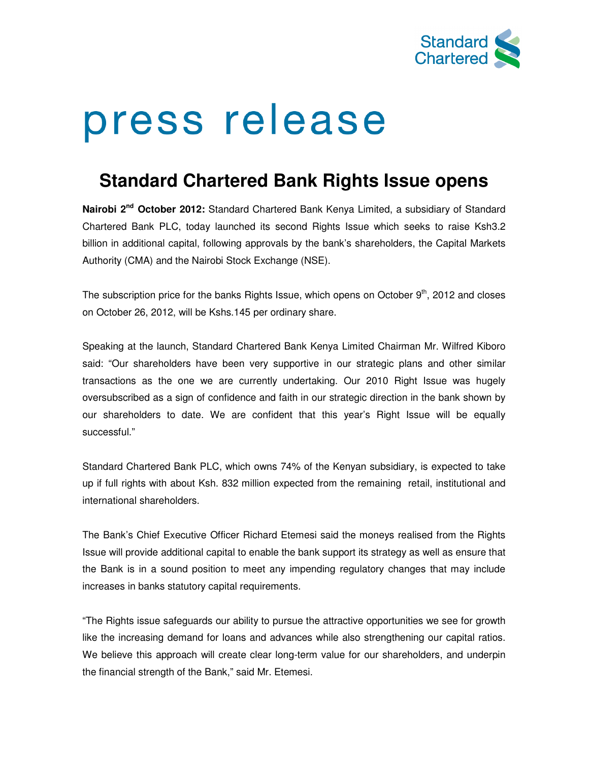

# press release

# **Standard Chartered Bank Rights Issue opens**

**Nairobi 2nd October 2012:** Standard Chartered Bank Kenya Limited, a subsidiary of Standard Chartered Bank PLC, today launched its second Rights Issue which seeks to raise Ksh3.2 billion in additional capital, following approvals by the bank's shareholders, the Capital Markets Authority (CMA) and the Nairobi Stock Exchange (NSE).

The subscription price for the banks Rights Issue, which opens on October 9<sup>th</sup>, 2012 and closes on October 26, 2012, will be Kshs.145 per ordinary share.

Speaking at the launch, Standard Chartered Bank Kenya Limited Chairman Mr. Wilfred Kiboro said: "Our shareholders have been very supportive in our strategic plans and other similar transactions as the one we are currently undertaking. Our 2010 Right Issue was hugely oversubscribed as a sign of confidence and faith in our strategic direction in the bank shown by our shareholders to date. We are confident that this year's Right Issue will be equally successful."

Standard Chartered Bank PLC, which owns 74% of the Kenyan subsidiary, is expected to take up if full rights with about Ksh. 832 million expected from the remaining retail, institutional and international shareholders.

The Bank's Chief Executive Officer Richard Etemesi said the moneys realised from the Rights Issue will provide additional capital to enable the bank support its strategy as well as ensure that the Bank is in a sound position to meet any impending regulatory changes that may include increases in banks statutory capital requirements.

"The Rights issue safeguards our ability to pursue the attractive opportunities we see for growth like the increasing demand for loans and advances while also strengthening our capital ratios. We believe this approach will create clear long-term value for our shareholders, and underpin the financial strength of the Bank," said Mr. Etemesi.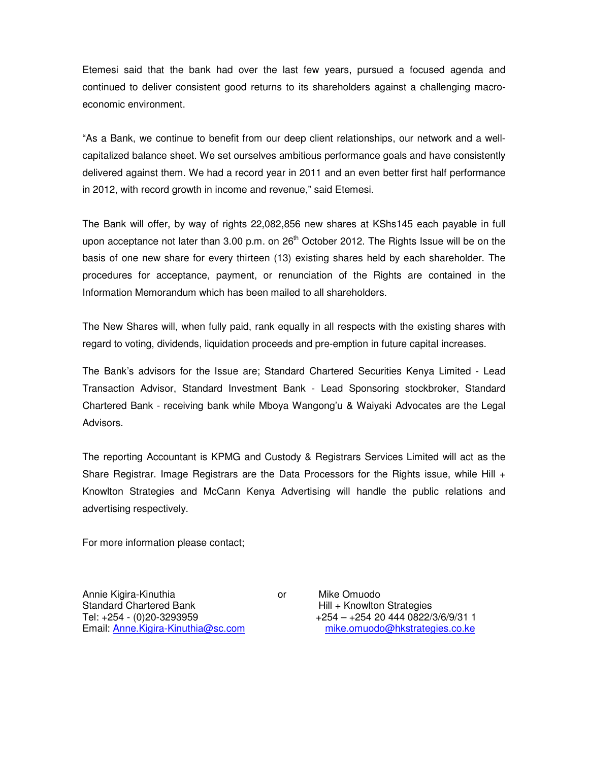Etemesi said that the bank had over the last few years, pursued a focused agenda and continued to deliver consistent good returns to its shareholders against a challenging macroeconomic environment.

"As a Bank, we continue to benefit from our deep client relationships, our network and a wellcapitalized balance sheet. We set ourselves ambitious performance goals and have consistently delivered against them. We had a record year in 2011 and an even better first half performance in 2012, with record growth in income and revenue," said Etemesi.

The Bank will offer, by way of rights 22,082,856 new shares at KShs145 each payable in full upon acceptance not later than 3.00 p.m. on  $26<sup>th</sup>$  October 2012. The Rights Issue will be on the basis of one new share for every thirteen (13) existing shares held by each shareholder. The procedures for acceptance, payment, or renunciation of the Rights are contained in the Information Memorandum which has been mailed to all shareholders.

The New Shares will, when fully paid, rank equally in all respects with the existing shares with regard to voting, dividends, liquidation proceeds and pre-emption in future capital increases.

The Bank's advisors for the Issue are; Standard Chartered Securities Kenya Limited - Lead Transaction Advisor, Standard Investment Bank - Lead Sponsoring stockbroker, Standard Chartered Bank - receiving bank while Mboya Wangong'u & Waiyaki Advocates are the Legal Advisors.

The reporting Accountant is KPMG and Custody & Registrars Services Limited will act as the Share Registrar. Image Registrars are the Data Processors for the Rights issue, while Hill + Knowlton Strategies and McCann Kenya Advertising will handle the public relations and advertising respectively.

For more information please contact;

Annie Kigira-Kinuthia or Mike Omuodo Standard Chartered Bank **Hill + Knowlton Strategies** Tel: +254 - (0)20-3293959 +254 – +254 20 444 0822/3/6/9/31 1 Email: Anne.Kigira-Kinuthia@sc.com